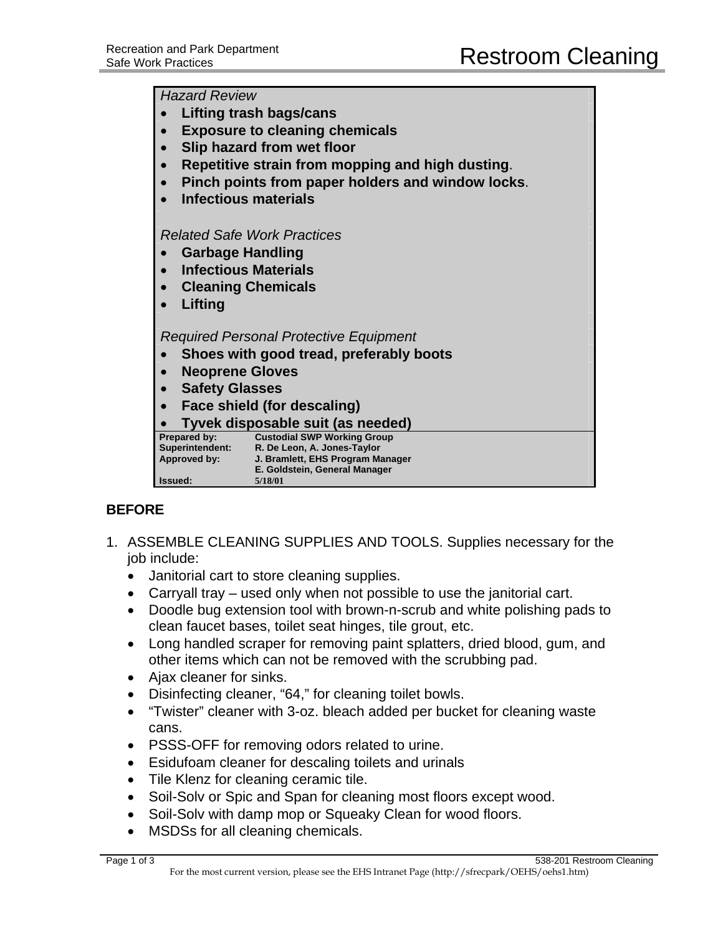*Hazard Review* 

| Lifting trash bags/cans                                                                              |
|------------------------------------------------------------------------------------------------------|
| <b>Exposure to cleaning chemicals</b>                                                                |
| Slip hazard from wet floor                                                                           |
| Repetitive strain from mopping and high dusting.<br>$\bullet$                                        |
|                                                                                                      |
| Pinch points from paper holders and window locks.                                                    |
| <b>Infectious materials</b>                                                                          |
|                                                                                                      |
| <b>Related Safe Work Practices</b>                                                                   |
| <b>Garbage Handling</b>                                                                              |
| <b>Infectious Materials</b>                                                                          |
| <b>Cleaning Chemicals</b><br>$\bullet$                                                               |
| Lifting                                                                                              |
|                                                                                                      |
| <b>Required Personal Protective Equipment</b>                                                        |
| Shoes with good tread, preferably boots                                                              |
| <b>Neoprene Gloves</b><br>$\bullet$                                                                  |
|                                                                                                      |
| <b>Safety Glasses</b>                                                                                |
| Face shield (for descaling)<br>$\bullet$                                                             |
| Tyvek disposable suit (as needed)                                                                    |
| Prepared by:<br><b>Custodial SWP Working Group</b><br>Superintendent:<br>R. De Leon, A. Jones-Taylor |
| Approved by:<br>J. Bramlett, EHS Program Manager                                                     |
| E. Goldstein, General Manager                                                                        |
| 5/18/01<br>Issued:                                                                                   |

## **BEFORE**

- 1. ASSEMBLE CLEANING SUPPLIES AND TOOLS. Supplies necessary for the job include:
	- Janitorial cart to store cleaning supplies.
	- Carryall tray used only when not possible to use the janitorial cart.
	- Doodle bug extension tool with brown-n-scrub and white polishing pads to clean faucet bases, toilet seat hinges, tile grout, etc.
	- Long handled scraper for removing paint splatters, dried blood, gum, and other items which can not be removed with the scrubbing pad.
	- Ajax cleaner for sinks.
	- Disinfecting cleaner, "64," for cleaning toilet bowls.
	- "Twister" cleaner with 3-oz. bleach added per bucket for cleaning waste cans.
	- PSSS-OFF for removing odors related to urine.
	- Esidufoam cleaner for descaling toilets and urinals
	- Tile Klenz for cleaning ceramic tile.
	- Soil-Solv or Spic and Span for cleaning most floors except wood.
	- Soil-Solv with damp mop or Squeaky Clean for wood floors.
	- MSDSs for all cleaning chemicals.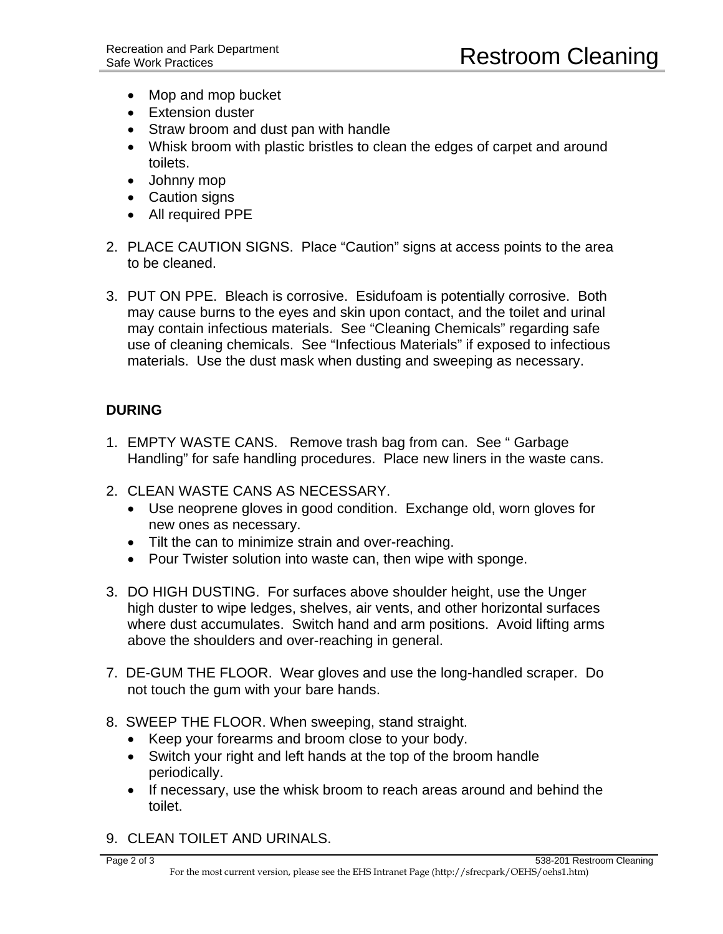- Mop and mop bucket
- Extension duster
- Straw broom and dust pan with handle
- Whisk broom with plastic bristles to clean the edges of carpet and around toilets.
- Johnny mop
- Caution signs
- All required PPE
- 2. PLACE CAUTION SIGNS. Place "Caution" signs at access points to the area to be cleaned.
- 3. PUT ON PPE. Bleach is corrosive. Esidufoam is potentially corrosive. Both may cause burns to the eyes and skin upon contact, and the toilet and urinal may contain infectious materials. See "Cleaning Chemicals" regarding safe use of cleaning chemicals. See "Infectious Materials" if exposed to infectious materials. Use the dust mask when dusting and sweeping as necessary.

## **DURING**

- 1. EMPTY WASTE CANS. Remove trash bag from can. See " Garbage Handling" for safe handling procedures. Place new liners in the waste cans.
- 2. CLEAN WASTE CANS AS NECESSARY.
	- Use neoprene gloves in good condition. Exchange old, worn gloves for new ones as necessary.
	- Tilt the can to minimize strain and over-reaching.
	- Pour Twister solution into waste can, then wipe with sponge.
- 3. DO HIGH DUSTING. For surfaces above shoulder height, use the Unger high duster to wipe ledges, shelves, air vents, and other horizontal surfaces where dust accumulates. Switch hand and arm positions. Avoid lifting arms above the shoulders and over-reaching in general.
- 7. DE-GUM THE FLOOR. Wear gloves and use the long-handled scraper. Do not touch the gum with your bare hands.
- 8. SWEEP THE FLOOR. When sweeping, stand straight.
	- Keep your forearms and broom close to your body.
	- Switch your right and left hands at the top of the broom handle periodically.
	- If necessary, use the whisk broom to reach areas around and behind the toilet.
- 9. CLEAN TOILET AND URINALS.